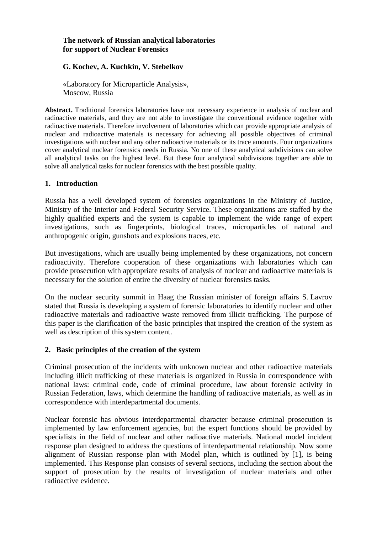### **The network of Russian analytical laboratories for support of Nuclear Forensics**

### **G. Kochev, A. Kuchkin, V. Stebelkov**

«Laboratory for Microparticle Analysis», Moscow, Russia

**Abstract.** Traditional forensics laboratories have not necessary experience in analysis of nuclear and radioactive materials, and they are not able to investigate the conventional evidence together with radioactive materials. Therefore involvement of laboratories which can provide appropriate analysis of nuclear and radioactive materials is necessary for achieving all possible objectives of criminal investigations with nuclear and any other radioactive materials or its trace amounts. Four organizations cover analytical nuclear forensics needs in Russia. No one of these analytical subdivisions can solve all analytical tasks on the highest level. But these four analytical subdivisions together are able to solve all analytical tasks for nuclear forensics with the best possible quality.

#### **1. Introduction**

Russia has a well developed system of forensics organizations in the Ministry of Justice, Ministry of the Interior and Federal Security Service. These organizations are staffed by the highly qualified experts and the system is capable to implement the wide range of expert investigations, such as fingerprints, biological traces, microparticles of natural and anthropogenic origin, gunshots and explosions traces, etc.

But investigations, which are usually being implemented by these organizations, not concern radioactivity. Therefore cooperation of these organizations with laboratories which can provide prosecution with appropriate results of analysis of nuclear and radioactive materials is necessary for the solution of entire the diversity of nuclear forensics tasks.

On the nuclear security summit in Haag the Russian minister of foreign affairs S. Lavrov stated that Russia is developing a system of forensic laboratories to identify nuclear and other radioactive materials and radioactive waste removed from illicit trafficking. The purpose of this paper is the clarification of the basic principles that inspired the creation of the system as well as description of this system content.

#### **2. Basic principles of the creation of the system**

Criminal prosecution of the incidents with unknown nuclear and other radioactive materials including illicit trafficking of these materials is organized in Russia in correspondence with national laws: criminal code, code of criminal procedure, law about forensic activity in Russian Federation, laws, which determine the handling of radioactive materials, as well as in correspondence with interdepartmental documents.

Nuclear forensic has obvious interdepartmental character because criminal prosecution is implemented by law enforcement agencies, but the expert functions should be provided by specialists in the field of nuclear and other radioactive materials. National model incident response plan designed to address the questions of interdepartmental relationship. Now some alignment of Russian response plan with Model plan, which is outlined by [1], is being implemented. This Response plan consists of several sections, including the section about the support of prosecution by the results of investigation of nuclear materials and other radioactive evidence.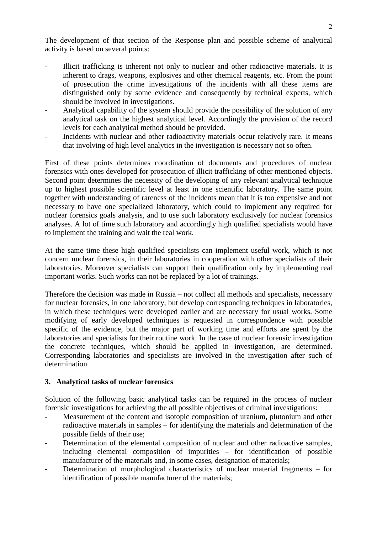The development of that section of the Response plan and possible scheme of analytical activity is based on several points:

- Illicit trafficking is inherent not only to nuclear and other radioactive materials. It is inherent to drags, weapons, explosives and other chemical reagents, etc. From the point of prosecution the crime investigations of the incidents with all these items are distinguished only by some evidence and consequently by technical experts, which should be involved in investigations.
- Analytical capability of the system should provide the possibility of the solution of any analytical task on the highest analytical level. Accordingly the provision of the record levels for each analytical method should be provided.
- Incidents with nuclear and other radioactivity materials occur relatively rare. It means that involving of high level analytics in the investigation is necessary not so often.

First of these points determines coordination of documents and procedures of nuclear forensics with ones developed for prosecution of illicit trafficking of other mentioned objects. Second point determines the necessity of the developing of any relevant analytical technique up to highest possible scientific level at least in one scientific laboratory. The same point together with understanding of rareness of the incidents mean that it is too expensive and not necessary to have one specialized laboratory, which could to implement any required for nuclear forensics goals analysis, and to use such laboratory exclusively for nuclear forensics analyses. A lot of time such laboratory and accordingly high qualified specialists would have to implement the training and wait the real work.

At the same time these high qualified specialists can implement useful work, which is not concern nuclear forensics, in their laboratories in cooperation with other specialists of their laboratories. Moreover specialists can support their qualification only by implementing real important works. Such works can not be replaced by a lot of trainings.

Therefore the decision was made in Russia – not collect all methods and specialists, necessary for nuclear forensics, in one laboratory, but develop corresponding techniques in laboratories, in which these techniques were developed earlier and are necessary for usual works. Some modifying of early developed techniques is requested in correspondence with possible specific of the evidence, but the major part of working time and efforts are spent by the laboratories and specialists for their routine work. In the case of nuclear forensic investigation the concrete techniques, which should be applied in investigation, are determined. Corresponding laboratories and specialists are involved in the investigation after such of determination.

# **3. Analytical tasks of nuclear forensics**

Solution of the following basic analytical tasks can be required in the process of nuclear forensic investigations for achieving the all possible objectives of criminal investigations:

- Measurement of the content and isotopic composition of uranium, plutonium and other radioactive materials in samples – for identifying the materials and determination of the possible fields of their use;
- Determination of the elemental composition of nuclear and other radioactive samples, including elemental composition of impurities – for identification of possible manufacturer of the materials and, in some cases, designation of materials;
- Determination of morphological characteristics of nuclear material fragments for identification of possible manufacturer of the materials;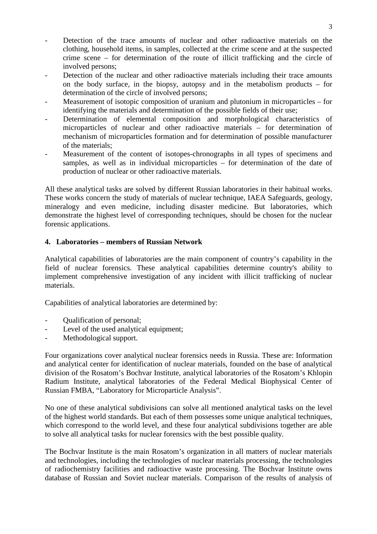- Detection of the trace amounts of nuclear and other radioactive materials on the clothing, household items, in samples, collected at the crime scene and at the suspected crime scene – for determination of the route of illicit trafficking and the circle of involved persons;
- Detection of the nuclear and other radioactive materials including their trace amounts on the body surface, in the biopsy, autopsy and in the metabolism products – for determination of the circle of involved persons;
- Measurement of isotopic composition of uranium and plutonium in microparticles for identifying the materials and determination of the possible fields of their use;
- Determination of elemental composition and morphological characteristics of microparticles of nuclear and other radioactive materials – for determination of mechanism of microparticles formation and for determination of possible manufacturer of the materials;
- Measurement of the content of isotopes-chronographs in all types of specimens and samples, as well as in individual microparticles – for determination of the date of production of nuclear or other radioactive materials.

All these analytical tasks are solved by different Russian laboratories in their habitual works. These works concern the study of materials of nuclear technique, IAEA Safeguards, geology, mineralogy and even medicine, including disaster medicine. But laboratories, which demonstrate the highest level of corresponding techniques, should be chosen for the nuclear forensic applications.

# **4. Laboratories – members of Russian Network**

Analytical capabilities of laboratories are the main component of country's capability in the field of nuclear forensics. These analytical capabilities determine country's ability to implement comprehensive investigation of any incident with illicit trafficking of nuclear materials.

Capabilities of analytical laboratories are determined by:

- Qualification of personal;
- Level of the used analytical equipment;
- Methodological support.

Four organizations cover analytical nuclear forensics needs in Russia. These are: Information and analytical center for identification of nuclear materials, founded on the base of analytical division of the Rosatom's Bochvar Institute, analytical laboratories of the Rosatom's Khlopin Radium Institute, analytical laboratories of the Federal Medical Biophysical Center of Russian FMBA, "Laboratory for Microparticle Analysis".

No one of these analytical subdivisions can solve all mentioned analytical tasks on the level of the highest world standards. But each of them possesses some unique analytical techniques, which correspond to the world level, and these four analytical subdivisions together are able to solve all analytical tasks for nuclear forensics with the best possible quality.

The Bochvar Institute is the main Rosatom's organization in all matters of nuclear materials and technologies, including the technologies of nuclear materials processing, the technologies of radiochemistry facilities and radioactive waste processing. The Bochvar Institute owns database of Russian and Soviet nuclear materials. Comparison of the results of analysis of